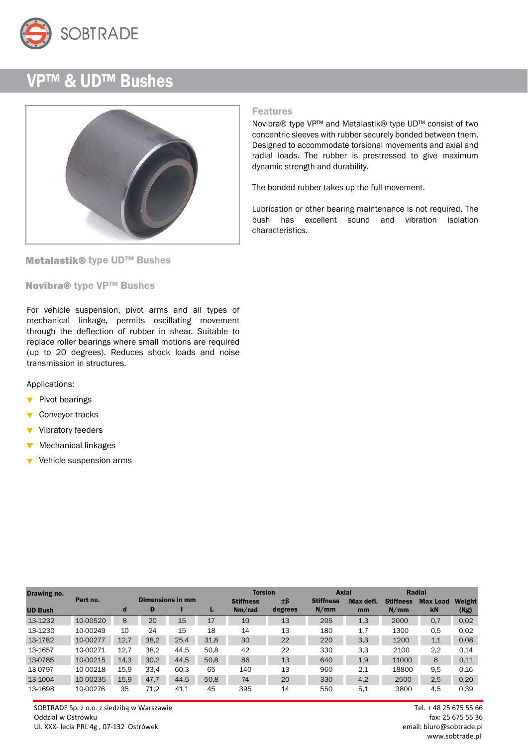

## VP™ & UD™ Bushes



Metalastik® type UD™ Bushes

Novibra® type VP™ Bushes

For vehicle suspension, pivot arms and all types of mechanical linkage, permits oscillating movement through the deflection of rubber in shear. Suitable to replace roller bearings where small motions are required (up to 20 degrees). Reduces shock loads and noise transmission in structures.

Applications:

- $\blacktriangledown$  Pivot bearings
- Conveyor tracks
- Vibratory feeders
- Mechanical linkages  $\overline{\mathbf{v}}$
- $\overline{\mathbf{v}}$ Vehicle suspension arms

| Drawing no.    |                                     |      |      |                  |      | <b>Torsion</b>   |           |                  | <b>Axial</b>    | <b>Radial</b> |           |      |
|----------------|-------------------------------------|------|------|------------------|------|------------------|-----------|------------------|-----------------|---------------|-----------|------|
|                | <b>Dimensions in mm</b><br>Part no. |      |      | <b>Stiffness</b> | ±β   | <b>Stiffness</b> | Max defl. | <b>Stiffness</b> | <b>Max Load</b> | Weight        |           |      |
| <b>UD Bush</b> |                                     | d    | D    |                  |      | Nm/rad           | degrees   | N/mm             | mm              | N/mm          | <b>kN</b> | (Kg) |
| 13-1232        | 10-00520                            | 8    | 20   | 15               | 17   | 10               | 13        | 205              | 1,3             | 2000          | 0,7       | 0,02 |
| 13-1230        | 10-00249                            | 10   | 24   | 15               | 18   | 14               | 13        | 180              | 1,7             | 1300          | 0.5       | 0,02 |
| 13-1782        | 10-00277                            | 12,7 | 38,2 | 25,4             | 31,8 | 30               | 22        | 220              | 3,3             | 1200          | 1,1       | 0.08 |
| 13-1657        | 10-00271                            | 12.7 | 38.2 | 44.5             | 50.8 | 42               | 22        | 330              | 3,3             | 2100          | 2,2       | 0.14 |
| 13-0785        | 10-00215                            | 14,3 | 30,2 | 44,5             | 50,8 | 86               | 13        | 640              | 1,9             | 11000         | 6         | 0,11 |
| 13-0797        | 10-00218                            | 15.9 | 33,4 | 60.3             | 65   | 140              | 13        | 960              | 2,1             | 18800         | 9,5       | 0,16 |
| 13-1004        | 10-00235                            | 15,9 | 47,7 | 44,5             | 50,8 | 74               | 20        | 330              | 4,2             | 2500          | 2,5       | 0,20 |
| 13-1698        | 10-00276                            | 35   | 71,2 | 41,1             | 45   | 395              | 14        | 550              | 5.1             | 3800          | 4,5       | 0.39 |

SOBTRADE Sp. z o.o. z siedzibą w Warszawie Tel. + 48 25 675 55 66 Oddział w Ostrówku fax: 25 675 55 36 Ul. XXX- lecia PRL 4g , 07-132 Ostrówek email: biuro@sobtrade.pl

## Features

Novibra® type VP™ and Metalastik® type UD™ consist of two concentric sleeves with rubber securely bonded between them. Designed to accommodate torsional movements and axial and radial loads. The rubber is prestressed to give maximum dynamic strength and durability.

The bonded rubber takes up the full movement.

Lubrication or other bearing maintenance is not required. The bush has excellent sound and vibration isolation characteristics.

www.sobtrade.pl